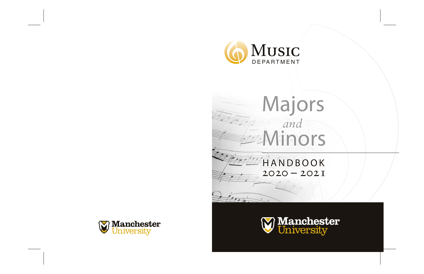

# Majors *and* **EXAMINORS**

# HANDBOOK  $2020 - 202I$

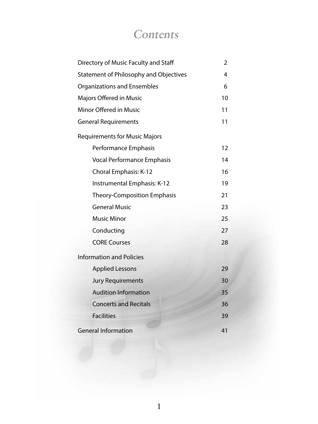### **Contents**

| Directory of Music Faculty and Staff   | 2  |
|----------------------------------------|----|
| Statement of Philosophy and Objectives | 4  |
| <b>Organizations and Ensembles</b>     | 6  |
| Majors Offered in Music                | 10 |
| Minor Offered in Music                 | 11 |
| <b>General Requirements</b>            | 11 |
| <b>Requirements for Music Majors</b>   |    |
| Performance Emphasis                   | 12 |
| Vocal Performance Emphasis             | 14 |
| Choral Emphasis: K-12                  | 16 |
| Instrumental Emphasis: K-12            | 19 |
| Theory-Composition Emphasis            | 21 |
| <b>General Music</b>                   | 23 |
| <b>Music Minor</b>                     | 25 |
| Conducting                             | 27 |
| <b>CORE Courses</b>                    | 28 |
| <b>Information and Policies</b>        |    |
| <b>Applied Lessons</b>                 | 29 |
| <b>Jury Requirements</b>               | 30 |
| <b>Audition Information</b>            | 35 |
| <b>Concerts and Recitals</b>           | 36 |
| <b>Facilities</b>                      | 39 |
| <b>General Information</b>             | 41 |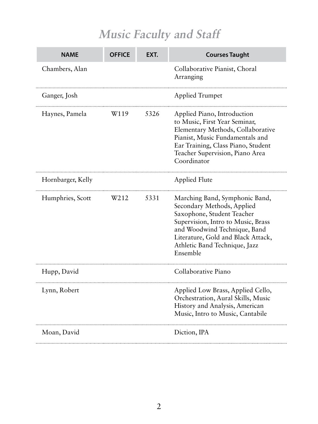### **Music Faculty and Staff**

| NAME              | <b>OFFICE</b> | EXT. | <b>Courses Taught</b>                                                                                                                                                                                                                               |
|-------------------|---------------|------|-----------------------------------------------------------------------------------------------------------------------------------------------------------------------------------------------------------------------------------------------------|
| Chambers, Alan    |               |      | Collaborative Pianist, Choral<br>Arranging                                                                                                                                                                                                          |
| Ganger, Josh      |               |      | <b>Applied Trumpet</b>                                                                                                                                                                                                                              |
| Haynes, Pamela    | W119          | 5326 | Applied Piano, Introduction<br>to Music, First Year Seminar,<br>Elementary Methods, Collaborative<br>Pianist, Music Fundamentals and<br>Ear Training, Class Piano, Student<br>Teacher Supervision, Piano Area<br>Coordinator                        |
| Hornbarger, Kelly |               |      | <b>Applied Flute</b>                                                                                                                                                                                                                                |
| Humphries, Scott  | W212          | 5331 | Marching Band, Symphonic Band,<br>Secondary Methods, Applied<br>Saxophone, Student Teacher<br>Supervision, Intro to Music, Brass<br>and Woodwind Technique, Band<br>Literature, Gold and Black Attack,<br>Athletic Band Technique, Jazz<br>Ensemble |
| Hupp, David       |               |      | Collaborative Piano                                                                                                                                                                                                                                 |
| Lynn, Robert      |               |      | Applied Low Brass, Applied Cello,<br>Orchestration, Aural Skills, Music<br>History and Analysis, American<br>Music, Intro to Music, Cantabile                                                                                                       |
| Moan, David       |               |      | Diction, IPA                                                                                                                                                                                                                                        |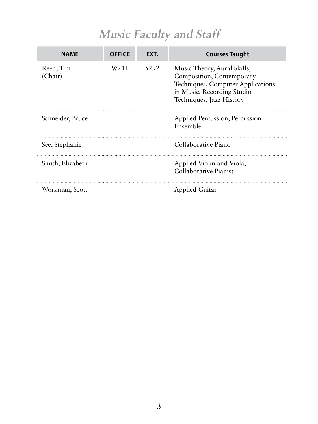### **Music Faculty and Staff**

| <b>NAMF</b>          | <b>OFFICE</b> | EXT. | <b>Courses Taught</b>                                                                                                                                   |
|----------------------|---------------|------|---------------------------------------------------------------------------------------------------------------------------------------------------------|
| Reed, Tim<br>(Chair) | W211          | 5292 | Music Theory, Aural Skills,<br>Composition, Contemporary<br>Techniques, Computer Applications<br>in Music, Recording Studio<br>Techniques, Jazz History |
| Schneider, Bruce     |               |      | Applied Percussion, Percussion<br>Ensemble                                                                                                              |
| See, Stephanie       |               |      | Collaborative Piano                                                                                                                                     |
| Smith, Elizabeth     |               |      | Applied Violin and Viola,<br>Collaborative Pianist                                                                                                      |
| Workman, Scott       |               |      | Applied Guitar                                                                                                                                          |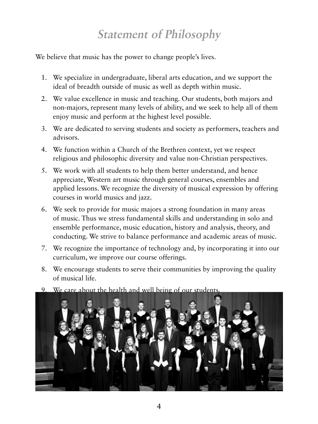### **Statement of Philosophy**

We believe that music has the power to change people's lives.

- 1. We specialize in undergraduate, liberal arts education, and we support the ideal of breadth outside of music as well as depth within music.
- 2. We value excellence in music and teaching. Our students, both majors and non-majors, represent many levels of ability, and we seek to help all of them enjoy music and perform at the highest level possible.
- 3. We are dedicated to serving students and society as performers, teachers and advisors.
- 4. We function within a Church of the Brethren context, yet we respect religious and philosophic diversity and value non-Christian perspectives.
- 5. We work with all students to help them better understand, and hence appreciate, Western art music through general courses, ensembles and applied lessons. We recognize the diversity of musical expression by offering courses in world musics and jazz.
- 6. We seek to provide for music majors a strong foundation in many areas of music. Thus we stress fundamental skills and understanding in solo and ensemble performance, music education, history and analysis, theory, and conducting. We strive to balance performance and academic areas of music.
- 7. We recognize the importance of technology and, by incorporating it into our curriculum, we improve our course offerings.
- 8. We encourage students to serve their communities by improving the quality of musical life.
- 9. We care about the health and well being of our students.

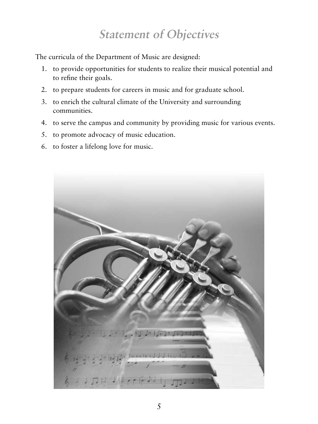### **Statement of Objectives**

The curricula of the Department of Music are designed:

- 1. to provide opportunities for students to realize their musical potential and to refine their goals.
- 2. to prepare students for careers in music and for graduate school.
- 3. to enrich the cultural climate of the University and surrounding communities.
- 4. to serve the campus and community by providing music for various events.
- 5. to promote advocacy of music education.
- 6. to foster a lifelong love for music.

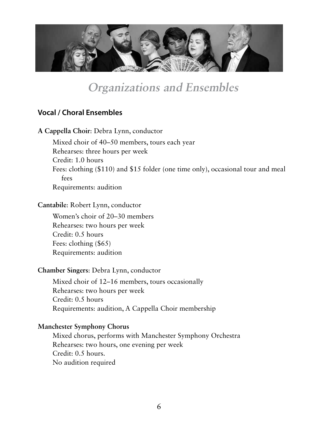

### **Organizations and Ensembles**

### **Vocal / Choral Ensembles**

**A Cappella Choir**: Debra Lynn, conductor

Mixed choir of 40–50 members, tours each year Rehearses: three hours per week Credit: 1.0 hours Fees: clothing (\$110) and \$15 folder (one time only), occasional tour and meal fees Requirements: audition

#### **Cantabile**: Robert Lynn, conductor

Women's choir of 20–30 members Rehearses: two hours per week Credit: 0.5 hours Fees: clothing (\$65) Requirements: audition

#### **Chamber Singers**: Debra Lynn, conductor

Mixed choir of 12–16 members, tours occasionally Rehearses: two hours per week Credit: 0.5 hours Requirements: audition, A Cappella Choir membership

#### **Manchester Symphony Chorus**

Mixed chorus, performs with Manchester Symphony Orchestra Rehearses: two hours, one evening per week Credit: 0.5 hours. No audition required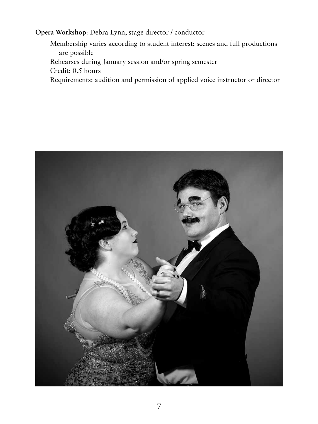**Opera Workshop**: Debra Lynn, stage director / conductor

Membership varies according to student interest; scenes and full productions are possible Rehearses during January session and/or spring semester Credit: 0.5 hours Requirements: audition and permission of applied voice instructor or director

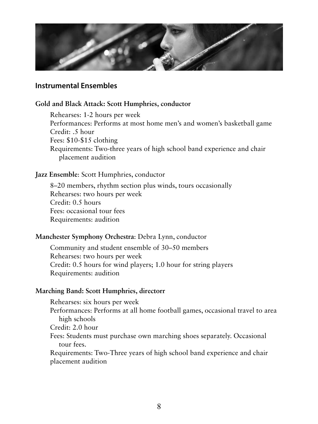

### **Instrumental Ensembles**

#### **Gold and Black Attack: Scott Humphries, conductor**

Rehearses: 1-2 hours per week Performances: Performs at most home men's and women's basketball game Credit: .5 hour Fees: \$10-\$15 clothing Requirements: Two-three years of high school band experience and chair placement audition

#### **Jazz Ensemble**: Scott Humphries, conductor

8–20 members, rhythm section plus winds, tours occasionally Rehearses: two hours per week Credit: 0.5 hours Fees: occasional tour fees Requirements: audition

### **Manchester Symphony Orchestra**: Debra Lynn, conductor

Community and student ensemble of 30–50 members Rehearses: two hours per week Credit: 0.5 hours for wind players; 1.0 hour for string players Requirements: audition

#### **Marching Band: Scott Humphries, directorr**

Rehearses: six hours per week Performances: Performs at all home football games, occasional travel to area high schools Credit: 2.0 hour Fees: Students must purchase own marching shoes separately. Occasional tour fees. Requirements: Two-Three years of high school band experience and chair placement audition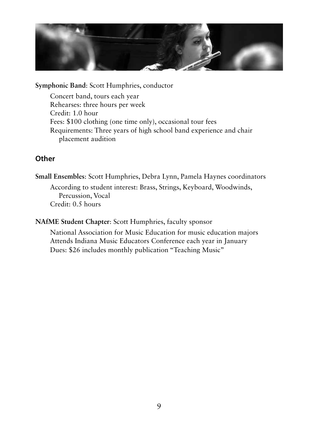

**Symphonic Band**: Scott Humphries, conductor

Concert band, tours each year Rehearses: three hours per week Credit: 1.0 hour Fees: \$100 clothing (one time only), occasional tour fees Requirements: Three years of high school band experience and chair placement audition

### **Other**

**Small Ensembles**: Scott Humphries, Debra Lynn, Pamela Haynes coordinators According to student interest: Brass, Strings, Keyboard, Woodwinds, Percussion, Vocal Credit: 0.5 hours

**NAfME Student Chapter**: Scott Humphries, faculty sponsor

National Association for Music Education for music education majors Attends Indiana Music Educators Conference each year in January Dues: \$26 includes monthly publication "Teaching Music"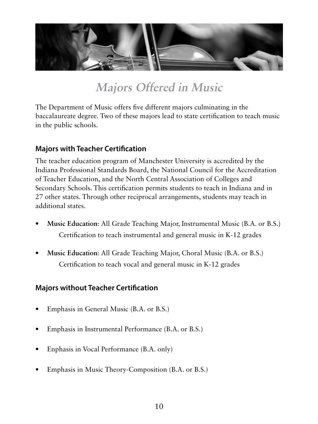

### **Majors Offered in Music**

The Department of Music offers five different majors culminating in the baccalaureate degree. Two of these majors lead to state certification to teach music in the public schools.

### **Majors with Teacher Certification**

The teacher education program of Manchester University is accredited by the Indiana Professional Standards Board, the National Council for the Accreditation of Teacher Education, and the North Central Association of Colleges and Secondary Schools. This certification permits students to teach in Indiana and in 27 other states. Through other reciprocal arrangements, students may teach in additional states.

- **• Music Education**: All Grade Teaching Major, Instrumental Music (B.A. or B.S.) Certification to teach instrumental and general music in K-12 grades
- **• Music Education**: All Grade Teaching Major, Choral Music (B.A. or B.S.) Certification to teach vocal and general music in K-12 grades

### **Majors without Teacher Certification**

- Emphasis in General Music (B.A. or B.S.)
- Emphasis in Instrumental Performance (B.A. or B.S.)
- Enphasis in Vocal Performance (B.A. only)
- Emphasis in Music Theory-Composition (B.A. or B.S.)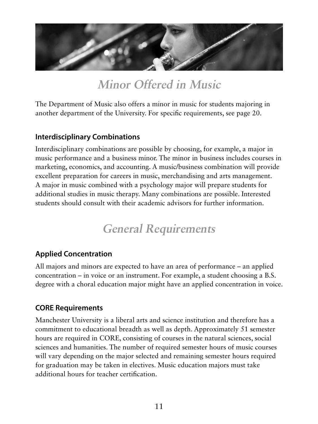

**Minor Offered in Music**

The Department of Music also offers a minor in music for students majoring in another department of the University. For specific requirements, see page 20.

### **Interdisciplinary Combinations**

Interdisciplinary combinations are possible by choosing, for example, a major in music performance and a business minor. The minor in business includes courses in marketing, economics, and accounting. A music/business combination will provide excellent preparation for careers in music, merchandising and arts management. A major in music combined with a psychology major will prepare students for additional studies in music therapy. Many combinations are possible. Interested students should consult with their academic advisors for further information.

### **General Requirements**

### **Applied Concentration**

All majors and minors are expected to have an area of performance – an applied concentration – in voice or an instrument. For example, a student choosing a B.S. degree with a choral education major might have an applied concentration in voice.

### **CORE Requirements**

Manchester University is a liberal arts and science institution and therefore has a commitment to educational breadth as well as depth. Approximately 51 semester hours are required in CORE, consisting of courses in the natural sciences, social sciences and humanities. The number of required semester hours of music courses will vary depending on the major selected and remaining semester hours required for graduation may be taken in electives. Music education majors must take additional hours for teacher certification.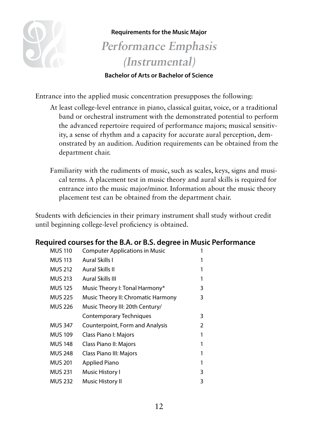

#### **Requirements for the Music Major**

### **Performance Emphasis (Instrumental)**

### **Bachelor of Arts or Bachelor of Science**

Entrance into the applied music concentration presupposes the following:

- At least college-level entrance in piano, classical guitar, voice, or a traditional band or orchestral instrument with the demonstrated potential to perform the advanced repertoire required of performance majors; musical sensitivity, a sense of rhythm and a capacity for accurate aural perception, demonstrated by an audition. Audition requirements can be obtained from the department chair.
- Familiarity with the rudiments of music, such as scales, keys, signs and musical terms. A placement test in music theory and aural skills is required for entrance into the music major/minor. Information about the music theory placement test can be obtained from the department chair.

Students with deficiencies in their primary instrument shall study without credit until beginning college-level proficiency is obtained.

### **Required courses for the B.A. or B.S. degree in Music Performance**

| <b>MUS 110</b> | <b>Computer Applications in Music</b> |   |
|----------------|---------------------------------------|---|
| <b>MUS 113</b> | Aural Skills I                        |   |
| <b>MUS 212</b> | Aural Skills II                       |   |
| <b>MUS 213</b> | Aural Skills III                      |   |
| <b>MUS 125</b> | Music Theory I: Tonal Harmony*        | 3 |
| <b>MUS 225</b> | Music Theory II: Chromatic Harmony    | 3 |
| <b>MUS 226</b> | Music Theory III: 20th Century/       |   |
|                | Contemporary Techniques               | 3 |
| <b>MUS 347</b> | Counterpoint, Form and Analysis       | 2 |
| <b>MUS 109</b> | Class Piano I: Majors                 |   |
| <b>MUS 148</b> | Class Piano II: Majors                |   |
| <b>MUS 248</b> | Class Piano III: Majors               |   |
| <b>MUS 201</b> | Applied Piano                         |   |
| <b>MUS 231</b> | Music History I                       | 3 |
| <b>MUS 232</b> | Music History II                      | 3 |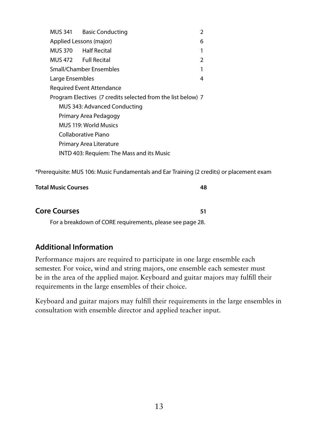MUS 341 Basic Conducting 2 Applied Lessons (major) 6 MUS 370 Half Recital 1 MUS 472 Full Recital 2 Small/Chamber Ensembles 1 Large Ensembles 4 Required Event Attendance Program Electives (7 credits selected from the list below) 7 MUS 343: Advanced Conducting Primary Area Pedagogy MUS 119: World Musics Collaborative Piano Primary Area Literature INTD 403: Requiem: The Mass and its Music

\*Prerequisite: MUS 106: Music Fundamentals and Ear Training (2 credits) or placement exam

**Total Music Courses 48**

| <b>Core Courses</b> |  |
|---------------------|--|
|                     |  |

For a breakdown of CORE requirements, please see page 28.

### **Additional Information**

Performance majors are required to participate in one large ensemble each semester. For voice, wind and string majors, one ensemble each semester must be in the area of the applied major. Keyboard and guitar majors may fulfill their requirements in the large ensembles of their choice.

Keyboard and guitar majors may fulfill their requirements in the large ensembles in consultation with ensemble director and applied teacher input.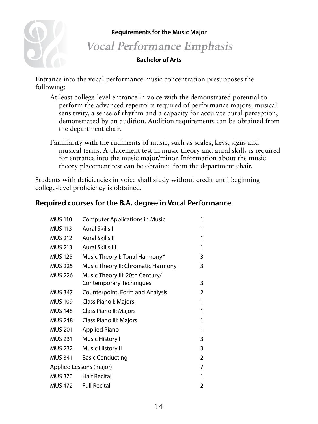**Requirements for the Music Major** 

### **Vocal Performance Emphasis**

#### **Bachelor of Arts**

Entrance into the vocal performance music concentration presupposes the following:

- At least college-level entrance in voice with the demonstrated potential to perform the advanced repertoire required of performance majors; musical sensitivity, a sense of rhythm and a capacity for accurate aural perception, demonstrated by an audition. Audition requirements can be obtained from the department chair.
- Familiarity with the rudiments of music, such as scales, keys, signs and musical terms. A placement test in music theory and aural skills is required for entrance into the music major/minor. Information about the music theory placement test can be obtained from the department chair.

Students with deficiencies in voice shall study without credit until beginning college-level proficiency is obtained.

### **Required courses for the B.A. degree in Vocal Performance**

| <b>MUS 110</b>          | <b>Computer Applications in Music</b> | 1              |
|-------------------------|---------------------------------------|----------------|
| <b>MUS 113</b>          | Aural Skills I                        |                |
| <b>MUS 212</b>          | Aural Skills II                       |                |
| <b>MUS 213</b>          | Aural Skills III                      | 1              |
| <b>MUS 125</b>          | Music Theory I: Tonal Harmony*        | 3              |
| <b>MUS 225</b>          | Music Theory II: Chromatic Harmony    | 3              |
| <b>MUS 226</b>          | Music Theory III: 20th Century/       |                |
|                         | <b>Contemporary Techniques</b>        | 3              |
| <b>MUS 347</b>          | Counterpoint, Form and Analysis       | 2              |
| <b>MUS 109</b>          | Class Piano I: Majors                 | 1              |
| <b>MUS 148</b>          | Class Piano II: Majors                | 1              |
| <b>MUS 248</b>          | Class Piano III: Majors               | 1              |
| <b>MUS 201</b>          | Applied Piano                         | 1              |
| <b>MUS 231</b>          | Music History I                       | 3              |
| <b>MUS 232</b>          | Music History II                      | 3              |
| <b>MUS 341</b>          | <b>Basic Conducting</b>               | $\overline{2}$ |
| Applied Lessons (major) |                                       | 7              |
| <b>MUS 370</b>          | <b>Half Recital</b>                   | 1              |
| <b>MUS 472</b>          | <b>Full Recital</b>                   | 2              |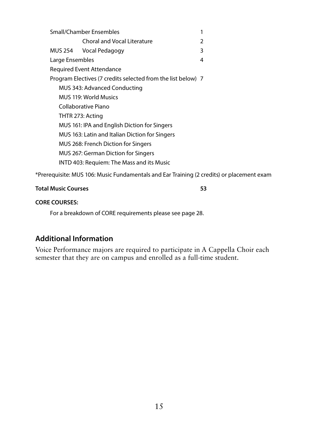| Small/Chamber Ensembles<br>1 |                                                              |   |
|------------------------------|--------------------------------------------------------------|---|
|                              | <b>Choral and Vocal Literature</b>                           | 2 |
| MUS 254                      | Vocal Pedagogy                                               | 3 |
| Large Ensembles              |                                                              | 4 |
|                              | Required Event Attendance                                    |   |
|                              | Program Electives (7 credits selected from the list below) 7 |   |
|                              | MUS 343: Advanced Conducting                                 |   |
|                              | MUS 119: World Musics                                        |   |
|                              | Collaborative Piano                                          |   |
|                              | THTR 273: Acting                                             |   |
|                              | MUS 161: IPA and English Diction for Singers                 |   |
|                              | MUS 163: Latin and Italian Diction for Singers               |   |
|                              | MUS 268: French Diction for Singers                          |   |
|                              | MUS 267: German Diction for Singers                          |   |
|                              | INTD 403: Requiem: The Mass and its Music                    |   |
|                              |                                                              |   |

\*Prerequisite: MUS 106: Music Fundamentals and Ear Training (2 credits) or placement exam

#### **Total Music Courses 53**

#### **CORE COURSES:**

For a breakdown of CORE requirements please see page 28.

### **Additional Information**

Voice Performance majors are required to participate in A Cappella Choir each semester that they are on campus and enrolled as a full-time student.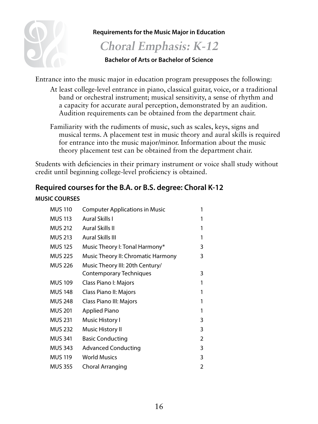

**Requirements for the Music Major in Education**

### **Choral Emphasis: K-12**

### **Bachelor of Arts or Bachelor of Science**

Entrance into the music major in education program presupposes the following:

- At least college-level entrance in piano, classical guitar, voice, or a traditional band or orchestral instrument; musical sensitivity, a sense of rhythm and a capacity for accurate aural perception, demonstrated by an audition. Audition requirements can be obtained from the department chair.
- Familiarity with the rudiments of music, such as scales, keys, signs and musical terms. A placement test in music theory and aural skills is required for entrance into the music major/minor. Information about the music theory placement test can be obtained from the department chair.

Students with deficiencies in their primary instrument or voice shall study without credit until beginning college-level proficiency is obtained.

### **Required courses for the B.A. or B.S. degree: Choral K-12**

#### **MUSIC COURSES**

| <b>MUS 110</b> | <b>Computer Applications in Music</b> | 1              |
|----------------|---------------------------------------|----------------|
| <b>MUS 113</b> | Aural Skills I                        | 1              |
| <b>MUS 212</b> | Aural Skills II                       | 1              |
| <b>MUS 213</b> | Aural Skills III                      | 1              |
| <b>MUS 125</b> | Music Theory I: Tonal Harmony*        | 3              |
| <b>MUS 225</b> | Music Theory II: Chromatic Harmony    | 3              |
| <b>MUS 226</b> | Music Theory III: 20th Century/       |                |
|                | Contemporary Techniques               | 3              |
| <b>MUS 109</b> | Class Piano I: Majors                 | 1              |
| <b>MUS 148</b> | Class Piano II: Majors                | 1              |
| <b>MUS 248</b> | Class Piano III: Majors               | 1              |
| <b>MUS 201</b> | Applied Piano                         | 1              |
| <b>MUS 231</b> | Music History I                       | 3              |
| <b>MUS 232</b> | Music History II                      | 3              |
| <b>MUS 341</b> | <b>Basic Conducting</b>               | 2              |
| <b>MUS 343</b> | <b>Advanced Conducting</b>            | 3              |
| <b>MUS 119</b> | <b>World Musics</b>                   | 3              |
| <b>MUS 355</b> | Choral Arranging                      | $\overline{2}$ |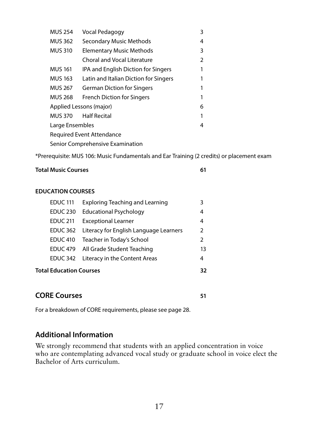| <b>MUS 254</b>                   | Vocal Pedagogy                        | 3 |  |  |
|----------------------------------|---------------------------------------|---|--|--|
| <b>MUS 362</b>                   | <b>Secondary Music Methods</b>        | 4 |  |  |
| <b>MUS 310</b>                   | <b>Elementary Music Methods</b>       | 3 |  |  |
|                                  | Choral and Vocal Literature           | 2 |  |  |
| <b>MUS 161</b>                   | IPA and English Diction for Singers   | 1 |  |  |
| <b>MUS 163</b>                   | Latin and Italian Diction for Singers |   |  |  |
| <b>MUS 267</b>                   | <b>German Diction for Singers</b>     |   |  |  |
| <b>MUS 268</b>                   | <b>French Diction for Singers</b>     |   |  |  |
| Applied Lessons (major)          |                                       |   |  |  |
| <b>MUS 370</b>                   | <b>Half Recital</b>                   |   |  |  |
| Large Ensembles                  |                                       | 4 |  |  |
|                                  | Required Event Attendance             |   |  |  |
| Senior Comprehensive Examination |                                       |   |  |  |

\*Prerequisite: MUS 106: Music Fundamentals and Ear Training (2 credits) or placement exam

#### **Total Music Courses 61**

#### **EDUCATION COURSES**

| <b>EDUC 111</b>                | <b>Exploring Teaching and Learning</b> | 3             |
|--------------------------------|----------------------------------------|---------------|
| <b>EDUC 230</b>                | <b>Educational Psychology</b>          | 4             |
| <b>EDUC 211</b>                | <b>Exceptional Learner</b>             | 4             |
| <b>EDUC 362</b>                | Literacy for English Language Learners | 2             |
|                                | EDUC 410 Teacher in Today's School     | $\mathcal{P}$ |
|                                | EDUC 479 All Grade Student Teaching    | 13            |
| <b>EDUC 342</b>                | Literacy in the Content Areas          | 4             |
| <b>Total Education Courses</b> |                                        | 32            |

### **CORE Courses** 51

For a breakdown of CORE requirements, please see page 28.

### **Additional Information**

We strongly recommend that students with an applied concentration in voice who are contemplating advanced vocal study or graduate school in voice elect the Bachelor of Arts curriculum.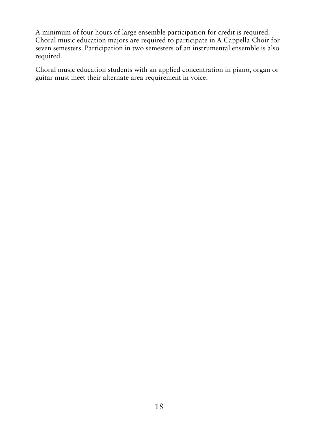A minimum of four hours of large ensemble participation for credit is required. Choral music education majors are required to participate in A Cappella Choir for seven semesters. Participation in two semesters of an instrumental ensemble is also required.

Choral music education students with an applied concentration in piano, organ or guitar must meet their alternate area requirement in voice.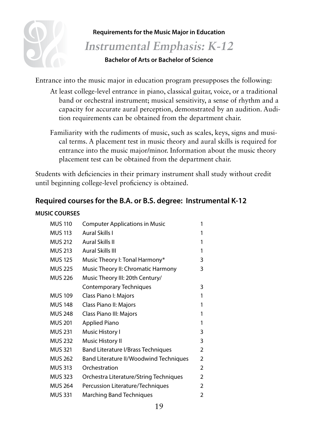

### **Requirements for the Music Major in Education**

### **Instrumental Emphasis: K-12**

### **Bachelor of Arts or Bachelor of Science**

Entrance into the music major in education program presupposes the following:

- At least college-level entrance in piano, classical guitar, voice, or a traditional band or orchestral instrument; musical sensitivity, a sense of rhythm and a capacity for accurate aural perception, demonstrated by an audition. Audition requirements can be obtained from the department chair.
- Familiarity with the rudiments of music, such as scales, keys, signs and musical terms. A placement test in music theory and aural skills is required for entrance into the music major/minor. Information about the music theory placement test can be obtained from the department chair.

Students with deficiencies in their primary instrument shall study without credit until beginning college-level proficiency is obtained.

### **Required courses for the B.A. or B.S. degree: Instrumental K-12**

### **MUSIC COURSES**

| <b>MUS 110</b> | <b>Computer Applications in Music</b>  | 1              |
|----------------|----------------------------------------|----------------|
| <b>MUS 113</b> | Aural Skills I                         |                |
| <b>MUS 212</b> | Aural Skills II                        | 1              |
| <b>MUS 213</b> | Aural Skills III                       | 1              |
| <b>MUS 125</b> | Music Theory I: Tonal Harmony*         | 3              |
| <b>MUS 225</b> | Music Theory II: Chromatic Harmony     | 3              |
| <b>MUS 226</b> | Music Theory III: 20th Century/        |                |
|                | <b>Contemporary Techniques</b>         | 3              |
| <b>MUS 109</b> | Class Piano I: Majors                  | 1              |
| <b>MUS 148</b> | Class Piano II: Majors                 | 1              |
| <b>MUS 248</b> | Class Piano III: Majors                | 1              |
| <b>MUS 201</b> | Applied Piano                          | 1              |
| <b>MUS 231</b> | Music History I                        | 3              |
| <b>MUS 232</b> | Music History II                       | 3              |
| <b>MUS 321</b> | Band Literature I/Brass Techniques     | 2              |
| <b>MUS 262</b> | Band Literature II/Woodwind Techniques | $\overline{2}$ |
| <b>MUS 313</b> | Orchestration                          | $\overline{2}$ |
| <b>MUS 323</b> | Orchestra Literature/String Techniques | $\mathfrak{D}$ |
| <b>MUS 264</b> | Percussion Literature/Techniques       | $\mathfrak{D}$ |
| <b>MUS 331</b> | Marching Band Techniques               | 2              |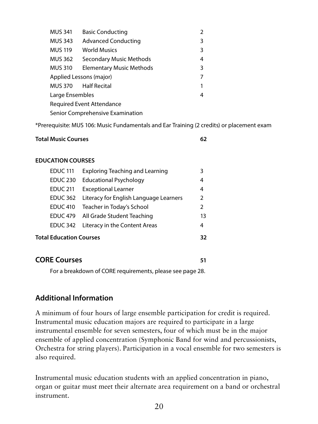| <b>MUS 341</b>                   | <b>Basic Conducting</b>    |   |  |
|----------------------------------|----------------------------|---|--|
| <b>MUS 343</b>                   | <b>Advanced Conducting</b> | 3 |  |
| <b>MUS 119</b>                   | <b>World Musics</b>        | 3 |  |
| MUS 362                          | Secondary Music Methods    | 4 |  |
| <b>MUS 310</b>                   | Elementary Music Methods   | 3 |  |
| Applied Lessons (major)          |                            |   |  |
| MUS 370 Half Recital             |                            | 1 |  |
| Large Ensembles                  |                            | 4 |  |
| <b>Required Event Attendance</b> |                            |   |  |
| Senior Comprehensive Examination |                            |   |  |

\*Prerequisite: MUS 106: Music Fundamentals and Ear Training (2 credits) or placement exam

| <b>Total Music Courses</b> |  |
|----------------------------|--|
|                            |  |

#### **EDUCATION COURSES**

| <b>EDUC 111</b>                      | <b>Exploring Teaching and Learning</b><br>3 |    |
|--------------------------------------|---------------------------------------------|----|
| <b>EDUC 230</b>                      | <b>Educational Psychology</b>               | 4  |
| <b>EDUC 211</b>                      | <b>Exceptional Learner</b>                  | 4  |
| <b>EDUC 362</b>                      | Literacy for English Language Learners      | 2  |
| <b>EDUC 410</b>                      | Teacher in Today's School                   | 2  |
|                                      | EDUC 479 All Grade Student Teaching         | 13 |
| <b>EDUC 342</b>                      | Literacy in the Content Areas               | 4  |
| <b>Total Education Courses</b><br>32 |                                             |    |

### **CORE Courses 61 CORE COURSES**

For a breakdown of CORE requirements, please see page 28.

### **Additional Information**

A minimum of four hours of large ensemble participation for credit is required. Instrumental music education majors are required to participate in a large instrumental ensemble for seven semesters, four of which must be in the major ensemble of applied concentration (Symphonic Band for wind and percussionists, Orchestra for string players). Participation in a vocal ensemble for two semesters is also required.

Instrumental music education students with an applied concentration in piano, organ or guitar must meet their alternate area requirement on a band or orchestral instrument.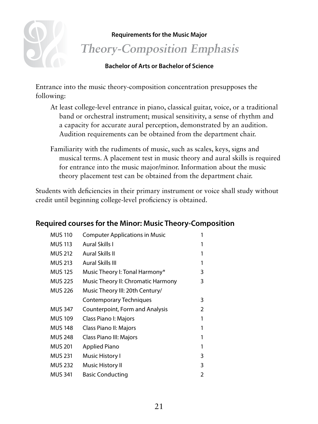

### **Requirements for the Music Major Theory-Composition Emphasis**

### **Bachelor of Arts or Bachelor of Science**

Entrance into the music theory-composition concentration presupposes the following:

- At least college-level entrance in piano, classical guitar, voice, or a traditional band or orchestral instrument; musical sensitivity, a sense of rhythm and a capacity for accurate aural perception, demonstrated by an audition. Audition requirements can be obtained from the department chair.
- Familiarity with the rudiments of music, such as scales, keys, signs and musical terms. A placement test in music theory and aural skills is required for entrance into the music major/minor. Information about the music theory placement test can be obtained from the department chair.

Students with deficiencies in their primary instrument or voice shall study without credit until beginning college-level proficiency is obtained.

### **Required courses for the Minor: Music Theory-Composition**

| <b>MUS 110</b> | <b>Computer Applications in Music</b> |   |
|----------------|---------------------------------------|---|
| <b>MUS 113</b> | Aural Skills I                        |   |
| <b>MUS 212</b> | Aural Skills II                       |   |
| <b>MUS 213</b> | Aural Skills III                      | 1 |
| <b>MUS 125</b> | Music Theory I: Tonal Harmony*        | 3 |
| <b>MUS 225</b> | Music Theory II: Chromatic Harmony    | 3 |
| <b>MUS 226</b> | Music Theory III: 20th Century/       |   |
|                | Contemporary Techniques               | 3 |
| <b>MUS 347</b> | Counterpoint, Form and Analysis       | 2 |
| <b>MUS 109</b> | Class Piano I: Majors                 | 1 |
| <b>MUS 148</b> | Class Piano II: Majors                |   |
| <b>MUS 248</b> | Class Piano III: Majors               | 1 |
| <b>MUS 201</b> | Applied Piano                         | 1 |
| <b>MUS 231</b> | Music History I                       | 3 |
| <b>MUS 232</b> | Music History II                      | 3 |
| <b>MUS 341</b> | <b>Basic Conducting</b>               | 2 |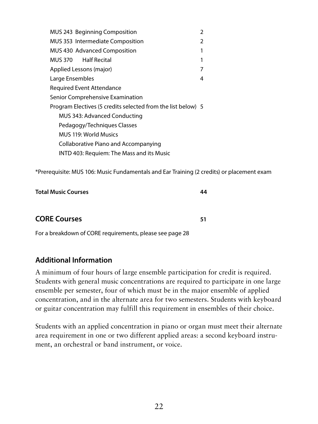| <b>MUS 243 Beginning Composition</b><br>$\mathcal{P}$        |   |  |  |
|--------------------------------------------------------------|---|--|--|
| MUS 353 Intermediate Composition<br>2                        |   |  |  |
| MUS 430 Advanced Composition                                 | 1 |  |  |
| MUS 370 Half Recital                                         | 1 |  |  |
| Applied Lessons (major)                                      |   |  |  |
| Large Ensembles                                              | 4 |  |  |
| Required Event Attendance                                    |   |  |  |
| Senior Comprehensive Examination                             |   |  |  |
| Program Electives (5 credits selected from the list below) 5 |   |  |  |
| MUS 343: Advanced Conducting                                 |   |  |  |
| Pedagogy/Techniques Classes                                  |   |  |  |
| MUS 119: World Musics                                        |   |  |  |
| Collaborative Piano and Accompanying                         |   |  |  |
| INTD 403: Requiem: The Mass and its Music                    |   |  |  |

\*Prerequisite: MUS 106: Music Fundamentals and Ear Training (2 credits) or placement exam

| <b>Total Music Courses</b> | 44 |
|----------------------------|----|
|                            |    |
| <b>CORE Courses</b>        |    |

For a breakdown of CORE requirements, please see page 28

### **Additional Information**

A minimum of four hours of large ensemble participation for credit is required. Students with general music concentrations are required to participate in one large ensemble per semester, four of which must be in the major ensemble of applied concentration, and in the alternate area for two semesters. Students with keyboard or guitar concentration may fulfill this requirement in ensembles of their choice.

Students with an applied concentration in piano or organ must meet their alternate area requirement in one or two different applied areas: a second keyboard instrument, an orchestral or band instrument, or voice.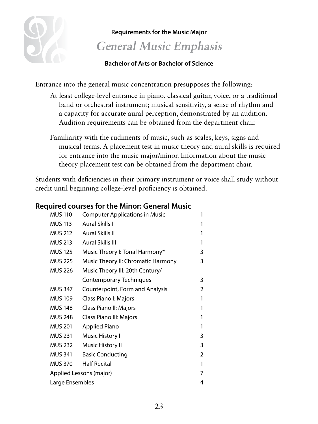

### **Requirements for the Music Major General Music Emphasis**

### **Bachelor of Arts or Bachelor of Science**

Entrance into the general music concentration presupposes the following:

- At least college-level entrance in piano, classical guitar, voice, or a traditional band or orchestral instrument; musical sensitivity, a sense of rhythm and a capacity for accurate aural perception, demonstrated by an audition. Audition requirements can be obtained from the department chair.
- Familiarity with the rudiments of music, such as scales, keys, signs and musical terms. A placement test in music theory and aural skills is required for entrance into the music major/minor. Information about the music theory placement test can be obtained from the department chair.

Students with deficiencies in their primary instrument or voice shall study without credit until beginning college-level proficiency is obtained.

| <b>MUS 110</b>               | <b>Computer Applications in Music</b> | 1              |  |
|------------------------------|---------------------------------------|----------------|--|
| <b>MUS 113</b>               | Aural Skills I                        | 1              |  |
| <b>MUS 212</b>               | <b>Aural Skills II</b>                | 1              |  |
| <b>MUS 213</b>               | <b>Aural Skills III</b>               | 1              |  |
| <b>MUS 125</b>               | Music Theory I: Tonal Harmony*        | 3              |  |
| <b>MUS 225</b>               | Music Theory II: Chromatic Harmony    | 3              |  |
| <b>MUS 226</b>               | Music Theory III: 20th Century/       |                |  |
|                              | Contemporary Techniques               | 3              |  |
| <b>MUS 347</b>               | Counterpoint, Form and Analysis       | $\overline{2}$ |  |
| MUS 109                      | Class Piano I: Majors                 | 1              |  |
| <b>MUS 148</b>               | Class Piano II: Majors                | 1              |  |
| MUS 248                      | Class Piano III: Majors               | 1              |  |
| <b>MUS 201</b>               | <b>Applied Piano</b>                  | 1              |  |
| <b>MUS 231</b>               | Music History I                       | 3              |  |
| MUS 232                      | Music History II                      | 3              |  |
| <b>MUS 341</b>               | <b>Basic Conducting</b>               | 2              |  |
| <b>MUS 370</b>               | <b>Half Recital</b>                   | 1              |  |
| Applied Lessons (major)<br>7 |                                       |                |  |
| Large Ensembles<br>4         |                                       |                |  |
|                              |                                       |                |  |

### **Required courses for the Minor: General Music**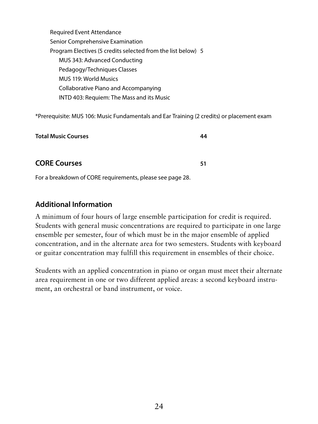Required Event Attendance Senior Comprehensive Examination Program Electives (5 credits selected from the list below) 5 MUS 343: Advanced Conducting Pedagogy/Techniques Classes MUS 119: World Musics Collaborative Piano and Accompanying INTD 403: Requiem: The Mass and its Music

\*Prerequisite: MUS 106: Music Fundamentals and Ear Training (2 credits) or placement exam

| <b>Total Music Courses</b> | 44 |
|----------------------------|----|
|                            |    |
| <b>CORE Courses</b>        | 51 |

For a breakdown of CORE requirements, please see page 28.

### **Additional Information**

A minimum of four hours of large ensemble participation for credit is required. Students with general music concentrations are required to participate in one large ensemble per semester, four of which must be in the major ensemble of applied concentration, and in the alternate area for two semesters. Students with keyboard or guitar concentration may fulfill this requirement in ensembles of their choice.

Students with an applied concentration in piano or organ must meet their alternate area requirement in one or two different applied areas: a second keyboard instrument, an orchestral or band instrument, or voice.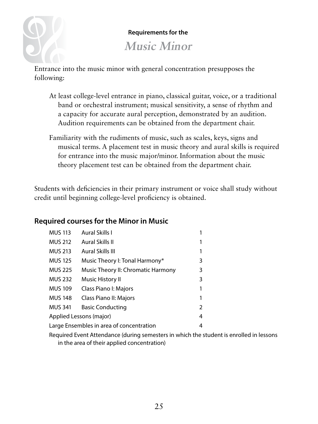

### **Requirements for the**

**Music Minor**

Entrance into the music minor with general concentration presupposes the following:

- At least college-level entrance in piano, classical guitar, voice, or a traditional band or orchestral instrument; musical sensitivity, a sense of rhythm and a capacity for accurate aural perception, demonstrated by an audition. Audition requirements can be obtained from the department chair.
- Familiarity with the rudiments of music, such as scales, keys, signs and musical terms. A placement test in music theory and aural skills is required for entrance into the music major/minor. Information about the music theory placement test can be obtained from the department chair.

Students with deficiencies in their primary instrument or voice shall study without credit until beginning college-level proficiency is obtained.

### **Required courses for the Minor in Music**

| <b>MUS 113</b>                                       | Aural Skills I                 |   |
|------------------------------------------------------|--------------------------------|---|
| <b>MUS 212</b>                                       | Aural Skills II                |   |
| <b>MUS 213</b>                                       | Aural Skills III               |   |
| <b>MUS 125</b>                                       | Music Theory I: Tonal Harmony* | 3 |
| <b>MUS 225</b><br>Music Theory II: Chromatic Harmony |                                | 3 |
| <b>MUS 232</b>                                       | Music History II               | 3 |
| <b>MUS 109</b><br>Class Piano I: Majors              |                                |   |
| <b>MUS 148</b><br>Class Piano II: Majors             |                                |   |
| <b>MUS 341</b><br><b>Basic Conducting</b>            |                                | 2 |
| Applied Lessons (major)<br>4                         |                                |   |
| Large Ensembles in area of concentration<br>4        |                                |   |

Required Event Attendance (during semesters in which the student is enrolled in lessons in the area of their applied concentration)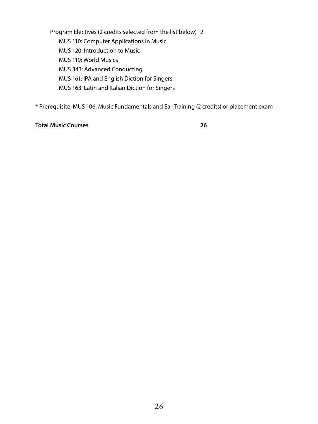Program Electives (2 credits selected from the list below) 2 MUS 110: Computer Applications in Music MUS 120: Introduction to Music MUS 119: World Musics MUS 343: Advanced Conducting MUS 161: IPA and English Diction for Singers MUS 163: Latin and Italian Diction for Singers

\* Prerequisite: MUS 106: Music Fundamentals and Ear Training (2 credits) or placement exam

#### **Total Music Courses 26**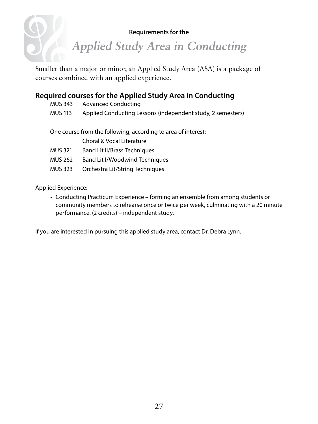#### **Requirements for the**

**Applied Study Area in Conducting**

Smaller than a major or minor, an Applied Study Area (ASA) is a package of courses combined with an applied experience.

### **Required courses for the Applied Study Area in Conducting**

| MUS 343                                                      | Advanced Conducting                                         |  |
|--------------------------------------------------------------|-------------------------------------------------------------|--|
| MUS 113                                                      | Applied Conducting Lessons (independent study, 2 semesters) |  |
|                                                              |                                                             |  |
| One course from the following according to area of interest. |                                                             |  |

One course from the following, according to area of interest:

- Choral & Vocal Literature
- MUS 321 Band Lit II/Brass Techniques
- MUS 262 Band Lit I/Woodwind Techniques
- MUS 323 Orchestra Lit/String Techniques

Applied Experience:

• Conducting Practicum Experience – forming an ensemble from among students or community members to rehearse once or twice per week, culminating with a 20 minute performance. (2 credits) – independent study.

If you are interested in pursuing this applied study area, contact Dr. Debra Lynn.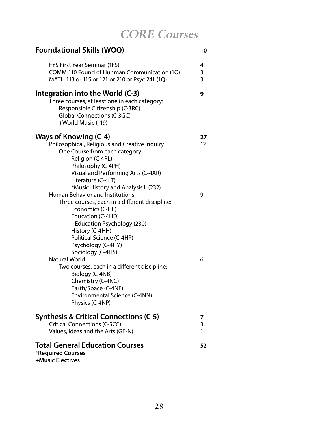**CORE Courses**

| <b>Foundational Skills (WOQ)</b>                                                                                                                                                                                                                                        | 10                      |
|-------------------------------------------------------------------------------------------------------------------------------------------------------------------------------------------------------------------------------------------------------------------------|-------------------------|
| FYS First Year Seminar (1FS)<br>COMM 110 Found of Hunman Communication (1O)<br>MATH 113 or 115 or 121 or 210 or Psyc 241 (1Q)                                                                                                                                           | 4<br>3<br>3             |
| Integration into the World (C-3)<br>Three courses, at least one in each category:<br>Responsible Citizenship (C-3RC)<br>Global Connections (C-3GC)<br>+World Music (119)                                                                                                | 9                       |
| Ways of Knowing (C-4)<br>Philosophical, Religious and Creative Inquiry<br>One Course from each category:<br>Religion (C-4RL)<br>Philosophy (C-4PH)<br>Visual and Performing Arts (C-4AR)<br>Literature (C-4LT)                                                          | 27<br>$12 \overline{ }$ |
| *Music History and Analysis II (232)<br>Human Behavior and Institutions<br>Three courses, each in a different discipline:<br>Economics (C-HE)<br>Education (C-4HD)<br>+Education Psychology (230)<br>History (C-4HH)<br>Political Science (C-4HP)<br>Psychology (C-4HY) | 9                       |
| Sociology (C-4HS)<br>Natural World<br>Two courses, each in a different discipline:<br>Biology (C-4NB)<br>Chemistry (C-4NC)<br>Earth/Space (C-4NE)<br>Environmental Science (C-4NN)<br>Physics (C-4NP)                                                                   | 6                       |
| <b>Synthesis &amp; Critical Connections (C-5)</b><br>Critical Connections (C-5CC)<br>Values, Ideas and the Arts (GE-N)                                                                                                                                                  | 7<br>3<br>1             |
| <b>Total General Education Courses</b><br>*Required Courses<br>+Music Electives                                                                                                                                                                                         | 52                      |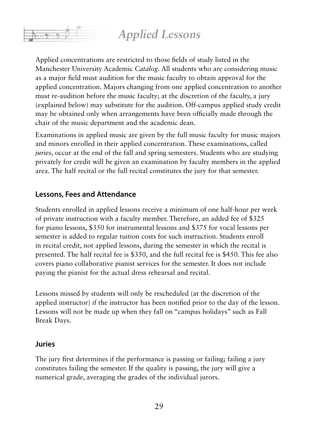### **Applied Lessons**

Applied concentrations are restricted to those fields of study listed in the Manchester University Academic *Catalog*. All students who are considering music as a major field must audition for the music faculty to obtain approval for the applied concentration. Majors changing from one applied concentration to another must re-audition before the music faculty; at the discretion of the faculty, a jury (explained below) may substitute for the audition. Off-campus applied study credit may be obtained only when arrangements have been officially made through the chair of the music department and the academic dean.

Examinations in applied music are given by the full music faculty for music majors and minors enrolled in their applied concentration. These examinations, called *juries*, occur at the end of the fall and spring semesters. Students who are studying privately for credit will be given an examination by faculty members in the applied area. The half recital or the full recital constitutes the jury for that semester.

### **Lessons, Fees and Attendance**

Students enrolled in applied lessons receive a minimum of one half-hour per week of private instruction with a faculty member. Therefore, an added fee of \$325 for piano lessons, \$350 for instrumental lessons and \$375 for vocal lessons per semester is added to regular tuition costs for such instruction. Students enroll in recital credit, not applied lessons, during the semester in which the recital is presented. The half recital fee is \$350, and the full recital fee is \$450. This fee also covers piano collaborative pianist services for the semester. It does not include paying the pianist for the actual dress rehearsal and recital.

Lessons missed by students will only be rescheduled (at the discretion of the applied instructor) if the instructor has been notified prior to the day of the lesson. Lessons will not be made up when they fall on "campus holidays" such as Fall Break Days.

### **Juries**

The jury first determines if the performance is passing or failing; failing a jury constitutes failing the semester. If the quality is passing, the jury will give a numerical grade, averaging the grades of the individual jurors.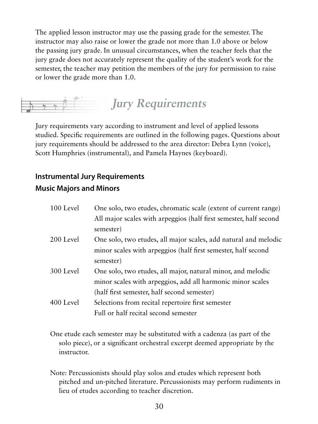The applied lesson instructor may use the passing grade for the semester. The instructor may also raise or lower the grade not more than 1.0 above or below the passing jury grade. In unusual circumstances, when the teacher feels that the jury grade does not accurately represent the quality of the student's work for the semester, the teacher may petition the members of the jury for permission to raise or lower the grade more than 1.0.



Jury requirements vary according to instrument and level of applied lessons studied. Specific requirements are outlined in the following pages. Questions about jury requirements should be addressed to the area director: Debra Lynn (voice), Scott Humphries (instrumental), and Pamela Haynes (keyboard).

### **Instrumental Jury Requirements Music Majors and Minors**

| 100 Level | One solo, two etudes, chromatic scale (extent of current range)   |
|-----------|-------------------------------------------------------------------|
|           | All major scales with arpeggios (half first semester, half second |
|           | semester)                                                         |
| 200 Level | One solo, two etudes, all major scales, add natural and melodic   |
|           | minor scales with arpeggios (half first semester, half second     |
|           | semester)                                                         |
| 300 Level | One solo, two etudes, all major, natural minor, and melodic       |
|           | minor scales with arpeggios, add all harmonic minor scales        |
|           | (half first semester, half second semester)                       |
| 400 Level | Selections from recital repertoire first semester                 |
|           | Full or half recital second semester                              |
|           |                                                                   |

- One etude each semester may be substituted with a cadenza (as part of the solo piece), or a significant orchestral excerpt deemed appropriate by the instructor.
- Note: Percussionists should play solos and etudes which represent both pitched and un-pitched literature. Percussionists may perform rudiments in lieu of etudes according to teacher discretion.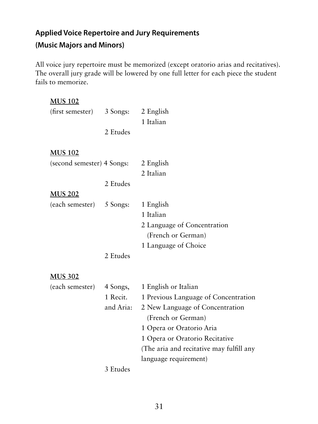### **Applied Voice Repertoire and Jury Requirements**

### **(Music Majors and Minors)**

All voice jury repertoire must be memorized (except oratorio arias and recitatives). The overall jury grade will be lowered by one full letter for each piece the student fails to memorize.

| <b>MUS 102</b>             |           |                                          |
|----------------------------|-----------|------------------------------------------|
| (first semester)           | 3 Songs:  | 2 English                                |
|                            |           | 1 Italian                                |
|                            | 2 Etudes  |                                          |
| <b>MUS 102</b>             |           |                                          |
| (second semester) 4 Songs: |           | 2 English                                |
|                            |           | 2 Italian                                |
|                            | 2 Etudes  |                                          |
| <b>MUS 202</b>             |           |                                          |
| (each semester)            | 5 Songs:  | 1 English                                |
|                            |           | 1 Italian                                |
|                            |           | 2 Language of Concentration              |
|                            |           | (French or German)                       |
|                            |           | 1 Language of Choice                     |
|                            | 2 Etudes  |                                          |
| <b>MUS 302</b>             |           |                                          |
| (each semester)            | 4 Songs,  | 1 English or Italian                     |
|                            | 1 Recit.  | 1 Previous Language of Concentration     |
|                            | and Aria: | 2 New Language of Concentration          |
|                            |           | (French or German)                       |
|                            |           | 1 Opera or Oratorio Aria                 |
|                            |           | 1 Opera or Oratorio Recitative           |
|                            |           | (The aria and recitative may fulfill any |
|                            |           | language requirement)                    |
|                            | 3 Etudes  |                                          |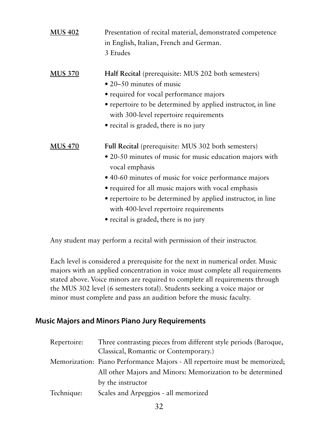| <b>MUS 402</b> | Presentation of recital material, demonstrated competence<br>in English, Italian, French and German.<br>3 Etudes                                                                                                                                                                                                                                                                                     |
|----------------|------------------------------------------------------------------------------------------------------------------------------------------------------------------------------------------------------------------------------------------------------------------------------------------------------------------------------------------------------------------------------------------------------|
| <b>MUS 370</b> | Half Recital (prerequisite: MUS 202 both semesters)<br>• 20–50 minutes of music<br>• required for vocal performance majors<br>• repertoire to be determined by applied instructor, in line<br>with 300-level repertoire requirements<br>• recital is graded, there is no jury                                                                                                                        |
| <b>MUS 470</b> | Full Recital (prerequisite: MUS 302 both semesters)<br>• 20-50 minutes of music for music education majors with<br>vocal emphasis<br>• 40-60 minutes of music for voice performance majors<br>• required for all music majors with vocal emphasis<br>• repertoire to be determined by applied instructor, in line<br>with 400-level repertoire requirements<br>• recital is graded, there is no jury |

Any student may perform a recital with permission of their instructor.

Each level is considered a prerequisite for the next in numerical order. Music majors with an applied concentration in voice must complete all requirements stated above. Voice minors are required to complete all requirements through the MUS 302 level (6 semesters total). Students seeking a voice major or minor must complete and pass an audition before the music faculty.

### **Music Majors and Minors Piano Jury Requirements**

| Three contrasting pieces from different style periods (Baroque,            |
|----------------------------------------------------------------------------|
| Classical, Romantic or Contemporary.)                                      |
| Memorization: Piano Performance Majors - All repertoire must be memorized; |
| All other Majors and Minors: Memorization to be determined                 |
| by the instructor                                                          |
| Scales and Arpeggios - all memorized                                       |
|                                                                            |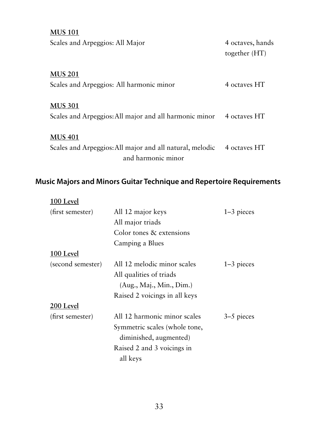| <b>MUS 101</b>                                           |                                   |
|----------------------------------------------------------|-----------------------------------|
| Scales and Arpeggios: All Major                          | 4 octaves, hands<br>together (HT) |
| <b>MUS 201</b>                                           |                                   |
| Scales and Arpeggios: All harmonic minor                 | 4 octaves HT                      |
| <b>MUS 301</b>                                           |                                   |
| Scales and Arpeggios: All major and all harmonic minor   | 4 octaves HT                      |
| <b>MUS 401</b>                                           |                                   |
| Scales and Arpeggios: All major and all natural, melodic | 4 octaves HT                      |
| and harmonic minor                                       |                                   |

### **Music Majors and Minors Guitar Technique and Repertoire Requirements**

| 100 Level         |                               |              |
|-------------------|-------------------------------|--------------|
| (first semester)  | All 12 major keys             | $1-3$ pieces |
|                   | All major triads              |              |
|                   | Color tones & extensions      |              |
|                   | Camping a Blues               |              |
| 100 Level         |                               |              |
| (second semester) | All 12 melodic minor scales   | $1-3$ pieces |
|                   | All qualities of triads       |              |
|                   | (Aug., Maj., Min., Dim.)      |              |
|                   | Raised 2 voicings in all keys |              |
| 200 Level         |                               |              |
| (first semester)  | All 12 harmonic minor scales  | 3–5 pieces   |
|                   | Symmetric scales (whole tone, |              |
|                   | diminished, augmented)        |              |
|                   | Raised 2 and 3 voicings in    |              |
|                   | all keys                      |              |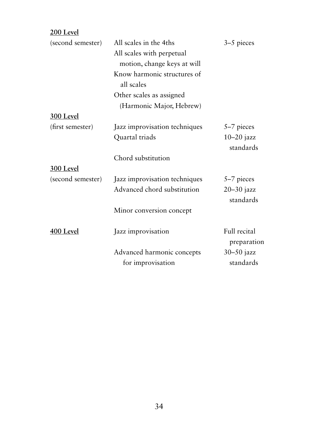**200 Level**

| (second semester) | All scales in the 4ths<br>All scales with perpetual | 3–5 pieces                  |
|-------------------|-----------------------------------------------------|-----------------------------|
|                   | motion, change keys at will                         |                             |
|                   | Know harmonic structures of<br>all scales           |                             |
|                   | Other scales as assigned                            |                             |
|                   | (Harmonic Major, Hebrew)                            |                             |
| 300 Level         |                                                     |                             |
| (first semester)  | Jazz improvisation techniques                       | 5–7 pieces                  |
|                   | Quartal triads                                      | $10-20$ jazz<br>standards   |
|                   | Chord substitution                                  |                             |
| 300 Level         |                                                     |                             |
| (second semester) | Jazz improvisation techniques                       | 5-7 pieces                  |
|                   | Advanced chord substitution                         | $20 - 30$ jazz<br>standards |
|                   | Minor conversion concept                            |                             |
|                   |                                                     |                             |
| 400 Level         | Jazz improvisation                                  | Full recital<br>preparation |
|                   | Advanced harmonic concepts<br>for improvisation     | $30 - 50$ jazz<br>standards |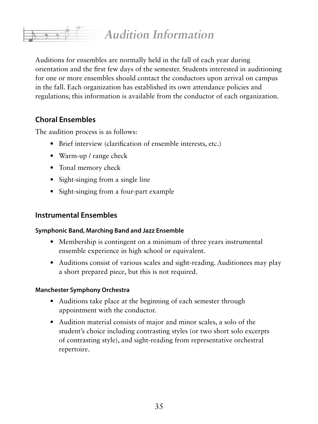## **Audition Information**

Auditions for ensembles are normally held in the fall of each year during orientation and the first few days of the semester. Students interested in auditioning for one or more ensembles should contact the conductors upon arrival on campus in the fall. Each organization has established its own attendance policies and regulations; this information is available from the conductor of each organization.

### **Choral Ensembles**

The audition process is as follows:

- Brief interview (clarification of ensemble interests, etc.)
- Warm-up / range check
- Tonal memory check
- Sight-singing from a single line
- Sight-singing from a four-part example

### **Instrumental Ensembles**

### **Symphonic Band, Marching Band and Jazz Ensemble**

- Membership is contingent on a minimum of three years instrumental ensemble experience in high school or equivalent.
- Auditions consist of various scales and sight-reading. Auditionees may play a short prepared piece, but this is not required.

### **Manchester Symphony Orchestra**

- Auditions take place at the beginning of each semester through appointment with the conductor.
- Audition material consists of major and minor scales, a solo of the student's choice including contrasting styles (or two short solo excerpts of contrasting style), and sight-reading from representative orchestral repertoire.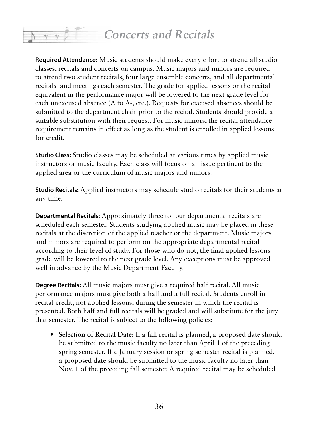**Required Attendance:** Music students should make every effort to attend all studio classes, recitals and concerts on campus. Music majors and minors are required to attend two student recitals, four large ensemble concerts, and all departmental recitals and meetings each semester. The grade for applied lessons or the recital equivalent in the performance major will be lowered to the next grade level for each unexcused absence (A to A-, etc.). Requests for excused absences should be submitted to the department chair prior to the recital. Students should provide a suitable substitution with their request. For music minors, the recital attendance requirement remains in effect as long as the student is enrolled in applied lessons for credit.

**Studio Class:** Studio classes may be scheduled at various times by applied music instructors or music faculty. Each class will focus on an issue pertinent to the applied area or the curriculum of music majors and minors.

**Studio Recitals:** Applied instructors may schedule studio recitals for their students at any time.

**Departmental Recitals:** Approximately three to four departmental recitals are scheduled each semester. Students studying applied music may be placed in these recitals at the discretion of the applied teacher or the department. Music majors and minors are required to perform on the appropriate departmental recital according to their level of study. For those who do not, the final applied lessons grade will be lowered to the next grade level. Any exceptions must be approved well in advance by the Music Department Faculty.

**Degree Recitals:** All music majors must give a required half recital. All music performance majors must give both a half and a full recital. Students enroll in recital credit, not applied lessons, during the semester in which the recital is presented. Both half and full recitals will be graded and will substitute for the jury that semester. The recital is subject to the following policies:

**• Selection of Recital Date**: If a fall recital is planned, a proposed date should be submitted to the music faculty no later than April 1 of the preceding spring semester. If a January session or spring semester recital is planned, a proposed date should be submitted to the music faculty no later than Nov. 1 of the preceding fall semester. A required recital may be scheduled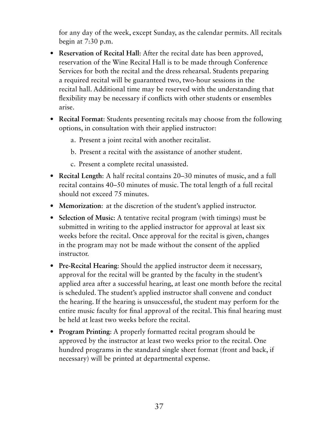for any day of the week, except Sunday, as the calendar permits. All recitals begin at 7:30 p.m.

- **• Reservation of Recital Hall**: After the recital date has been approved, reservation of the Wine Recital Hall is to be made through Conference Services for both the recital and the dress rehearsal. Students preparing a required recital will be guaranteed two, two-hour sessions in the recital hall. Additional time may be reserved with the understanding that flexibility may be necessary if conflicts with other students or ensembles arise.
- **• Recital Format**: Students presenting recitals may choose from the following options, in consultation with their applied instructor:
	- a. Present a joint recital with another recitalist.
	- b. Present a recital with the assistance of another student.
	- c. Present a complete recital unassisted.
- **• Recital Length**: A half recital contains 20–30 minutes of music, and a full recital contains 40–50 minutes of music. The total length of a full recital should not exceed 75 minutes.
- **• Memorization**: at the discretion of the student's applied instructor.
- **• Selection of Music**: A tentative recital program (with timings) must be submitted in writing to the applied instructor for approval at least six weeks before the recital. Once approval for the recital is given, changes in the program may not be made without the consent of the applied instructor.
- **• Pre-Recital Hearing**: Should the applied instructor deem it necessary, approval for the recital will be granted by the faculty in the student's applied area after a successful hearing, at least one month before the recital is scheduled. The student's applied instructor shall convene and conduct the hearing. If the hearing is unsuccessful, the student may perform for the entire music faculty for final approval of the recital. This final hearing must be held at least two weeks before the recital.
- **• Program Printing**: A properly formatted recital program should be approved by the instructor at least two weeks prior to the recital. One hundred programs in the standard single sheet format (front and back, if necessary) will be printed at departmental expense.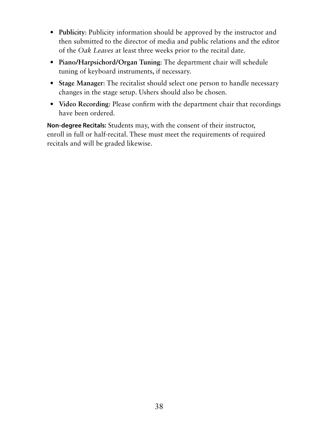- **• Publicity**: Publicity information should be approved by the instructor and then submitted to the director of media and public relations and the editor of the *Oak Leaves* at least three weeks prior to the recital date.
- **• Piano/Harpsichord/Organ Tuning**: The department chair will schedule tuning of keyboard instruments, if necessary.
- **• Stage Manager**: The recitalist should select one person to handle necessary changes in the stage setup. Ushers should also be chosen.
- **• Video Recording**: Please confirm with the department chair that recordings have been ordered.

**Non-degree Recitals:** Students may, with the consent of their instructor, enroll in full or half-recital. These must meet the requirements of required recitals and will be graded likewise.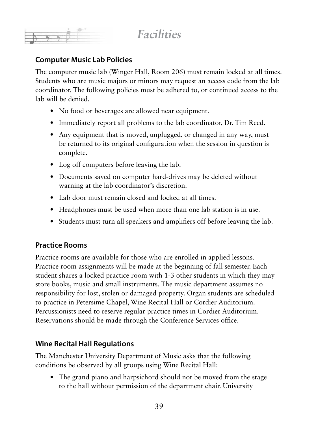**Facilities**

### **Computer Music Lab Policies**

The computer music lab (Winger Hall, Room 206) must remain locked at all times. Students who are music majors or minors may request an access code from the lab coordinator. The following policies must be adhered to, or continued access to the lab will be denied.

- No food or beverages are allowed near equipment.
- Immediately report all problems to the lab coordinator, Dr. Tim Reed.
- Any equipment that is moved, unplugged, or changed in any way, must be returned to its original configuration when the session in question is complete.
- Log off computers before leaving the lab.
- Documents saved on computer hard-drives may be deleted without warning at the lab coordinator's discretion.
- Lab door must remain closed and locked at all times.
- Headphones must be used when more than one lab station is in use.
- Students must turn all speakers and amplifiers off before leaving the lab.

### **Practice Rooms**

Practice rooms are available for those who are enrolled in applied lessons. Practice room assignments will be made at the beginning of fall semester. Each student shares a locked practice room with 1-3 other students in which they may store books, music and small instruments. The music department assumes no responsibility for lost, stolen or damaged property. Organ students are scheduled to practice in Petersime Chapel, Wine Recital Hall or Cordier Auditorium. Percussionists need to reserve regular practice times in Cordier Auditorium. Reservations should be made through the Conference Services office.

### **Wine Recital Hall Regulations**

The Manchester University Department of Music asks that the following conditions be observed by all groups using Wine Recital Hall:

• The grand piano and harpsichord should not be moved from the stage to the hall without permission of the department chair. University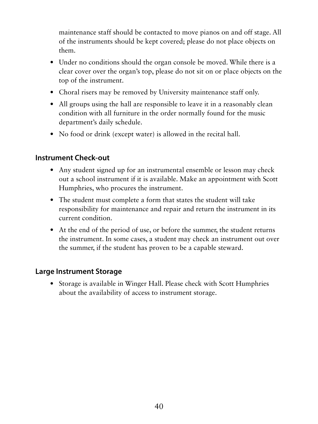maintenance staff should be contacted to move pianos on and off stage. All of the instruments should be kept covered; please do not place objects on them.

- Under no conditions should the organ console be moved. While there is a clear cover over the organ's top, please do not sit on or place objects on the top of the instrument.
- Choral risers may be removed by University maintenance staff only.
- All groups using the hall are responsible to leave it in a reasonably clean condition with all furniture in the order normally found for the music department's daily schedule.
- No food or drink (except water) is allowed in the recital hall.

### **Instrument Check-out**

- Any student signed up for an instrumental ensemble or lesson may check out a school instrument if it is available. Make an appointment with Scott Humphries, who procures the instrument.
- The student must complete a form that states the student will take responsibility for maintenance and repair and return the instrument in its current condition.
- At the end of the period of use, or before the summer, the student returns the instrument. In some cases, a student may check an instrument out over the summer, if the student has proven to be a capable steward.

### **Large Instrument Storage**

• Storage is available in Winger Hall. Please check with Scott Humphries about the availability of access to instrument storage.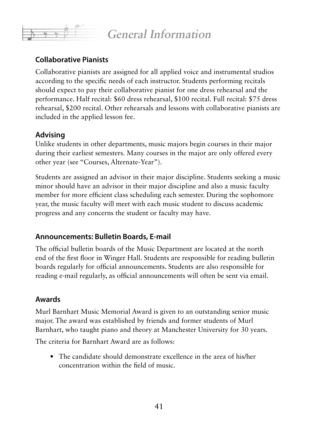### **General Information**

### **Collaborative Pianists**

Collaborative pianists are assigned for all applied voice and instrumental studios according to the specific needs of each instructor. Students performing recitals should expect to pay their collaborative pianist for one dress rehearsal and the performance. Half recital: \$60 dress rehearsal, \$100 recital. Full recital: \$75 dress rehearsal, \$200 recital. Other rehearsals and lessons with collaborative pianists are included in the applied lesson fee.

### **Advising**

Unlike students in other departments, music majors begin courses in their major during their earliest semesters. Many courses in the major are only offered every other year (see "Courses, Alternate-Year").

Students are assigned an advisor in their major discipline. Students seeking a music minor should have an advisor in their major discipline and also a music faculty member for more efficient class scheduling each semester. During the sophomore year, the music faculty will meet with each music student to discuss academic progress and any concerns the student or faculty may have.

### **Announcements: Bulletin Boards, E-mail**

The official bulletin boards of the Music Department are located at the north end of the first floor in Winger Hall. Students are responsible for reading bulletin boards regularly for official announcements. Students are also responsible for reading e-mail regularly, as official announcements will often be sent via email.

### **Awards**

Murl Barnhart Music Memorial Award is given to an outstanding senior music major. The award was established by friends and former students of Murl Barnhart, who taught piano and theory at Manchester University for 30 years.

The criteria for Barnhart Award are as follows:

• The candidate should demonstrate excellence in the area of his/her concentration within the field of music.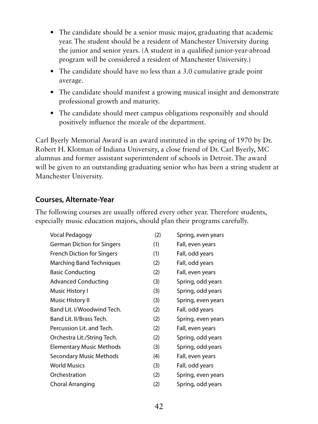- The candidate should be a senior music major, graduating that academic year. The student should be a resident of Manchester University during the junior and senior years. (A student in a qualified junior-year-abroad program will be considered a resident of Manchester University.)
- The candidate should have no less than a 3.0 cumulative grade point average.
- The candidate should manifest a growing musical insight and demonstrate professional growth and maturity.
- The candidate should meet campus obligations responsibly and should positively influence the morale of the department.

Carl Byerly Memorial Award is an award instituted in the spring of 1970 by Dr. Robert H. Klotman of Indiana University, a close friend of Dr. Carl Byerly, MC alumnus and former assistant superintendent of schools in Detroit. The award will be given to an outstanding graduating senior who has been a string student at Manchester University.

### **Courses, Alternate-Year**

The following courses are usually offered every other year. Therefore students, especially music education majors, should plan their programs carefully.

| Vocal Pedagogy                    | (2) | Spring, even years |
|-----------------------------------|-----|--------------------|
| <b>German Diction for Singers</b> | (1) | Fall, even years   |
| <b>French Diction for Singers</b> | (1) | Fall, odd years    |
| Marching Band Techniques          | (2) | Fall, odd years    |
| <b>Basic Conducting</b>           | (2) | Fall, even years   |
| <b>Advanced Conducting</b>        | (3) | Spring, odd years  |
| Music History I                   | (3) | Spring, odd years  |
| Music History II                  | (3) | Spring, even years |
| Band Lit. I/Woodwind Tech.        | (2) | Fall, odd years    |
| Band Lit. II/Brass Tech.          | (2) | Spring, even years |
| Percussion Lit. and Tech.         | (2) | Fall, even years   |
| Orchestra Lit./String Tech.       | (2) | Spring, odd years  |
| <b>Elementary Music Methods</b>   | (3) | Spring, odd years  |
| Secondary Music Methods           | (4) | Fall, even years   |
| <b>World Musics</b>               | (3) | Fall, odd years    |
| Orchestration                     | (2) | Spring, even years |
| Choral Arranging                  | (2) | Spring, odd years  |
|                                   |     |                    |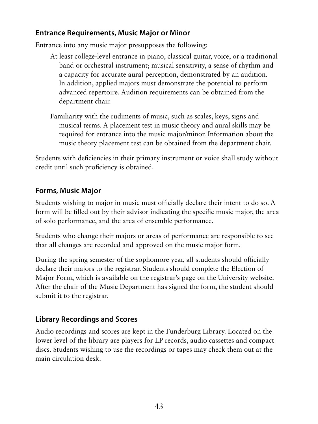### **Entrance Requirements, Music Major or Minor**

Entrance into any music major presupposes the following:

- At least college-level entrance in piano, classical guitar, voice, or a traditional band or orchestral instrument; musical sensitivity, a sense of rhythm and a capacity for accurate aural perception, demonstrated by an audition. In addition, applied majors must demonstrate the potential to perform advanced repertoire. Audition requirements can be obtained from the department chair.
- Familiarity with the rudiments of music, such as scales, keys, signs and musical terms. A placement test in music theory and aural skills may be required for entrance into the music major/minor. Information about the music theory placement test can be obtained from the department chair.

Students with deficiencies in their primary instrument or voice shall study without credit until such proficiency is obtained.

### **Forms, Music Major**

Students wishing to major in music must officially declare their intent to do so. A form will be filled out by their advisor indicating the specific music major, the area of solo performance, and the area of ensemble performance.

Students who change their majors or areas of performance are responsible to see that all changes are recorded and approved on the music major form.

During the spring semester of the sophomore year, all students should officially declare their majors to the registrar. Students should complete the Election of Major Form, which is available on the registrar's page on the University website. After the chair of the Music Department has signed the form, the student should submit it to the registrar.

### **Library Recordings and Scores**

Audio recordings and scores are kept in the Funderburg Library. Located on the lower level of the library are players for LP records, audio cassettes and compact discs. Students wishing to use the recordings or tapes may check them out at the main circulation desk.